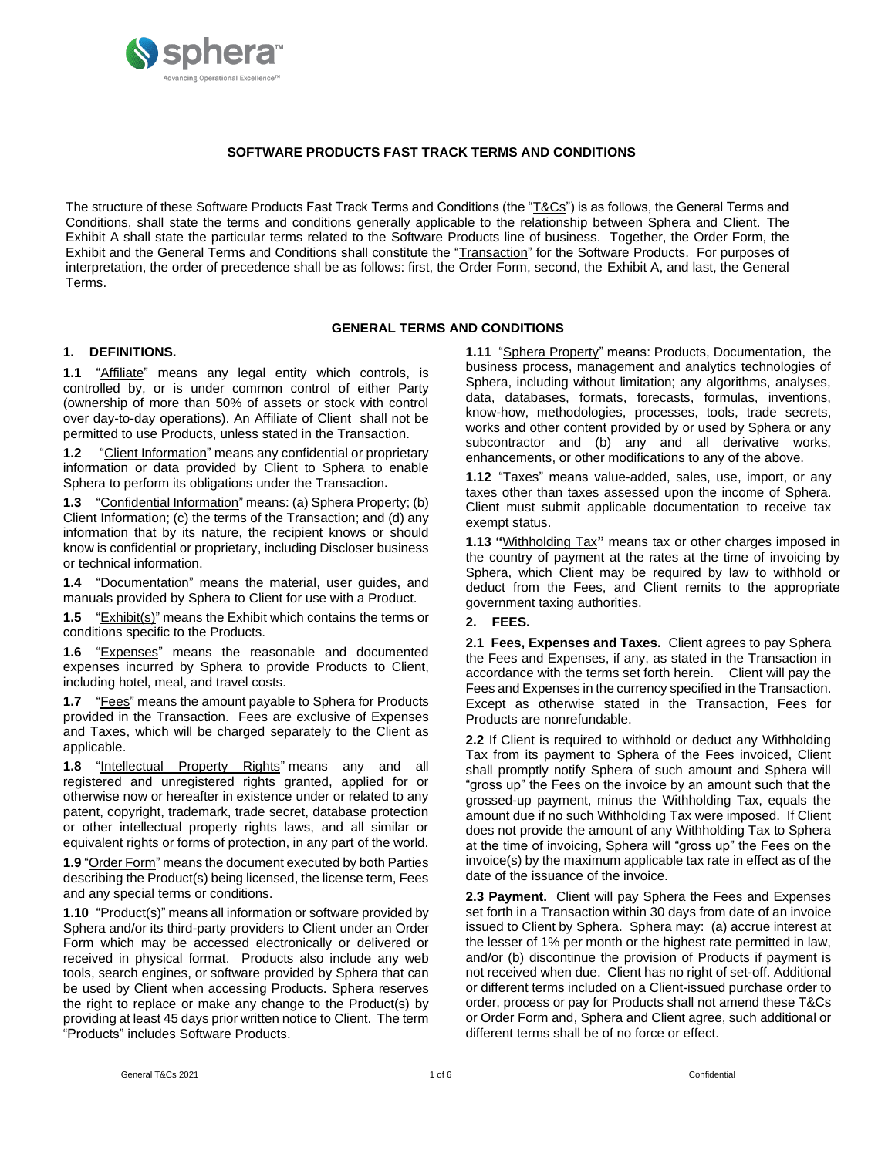

## **SOFTWARE PRODUCTS FAST TRACK TERMS AND CONDITIONS**

The structure of these Software Products Fast Track Terms and Conditions (the "T&Cs") is as follows, the General Terms and Conditions, shall state the terms and conditions generally applicable to the relationship between Sphera and Client. The Exhibit A shall state the particular terms related to the Software Products line of business. Together, the Order Form, the Exhibit and the General Terms and Conditions shall constitute the "Transaction" for the Software Products. For purposes of interpretation, the order of precedence shall be as follows: first, the Order Form, second, the Exhibit A, and last, the General Terms.

#### **GENERAL TERMS AND CONDITIONS**

#### **1. DEFINITIONS.**

**1.1** "Affiliate" means any legal entity which controls, is controlled by, or is under common control of either Party (ownership of more than 50% of assets or stock with control over day-to-day operations). An Affiliate of Client shall not be permitted to use Products, unless stated in the Transaction.

**1.2** "Client Information" means any confidential or proprietary information or data provided by Client to Sphera to enable Sphera to perform its obligations under the Transaction**.**

**1.3** "Confidential Information" means: (a) Sphera Property; (b) Client Information; (c) the terms of the Transaction; and (d) any information that by its nature, the recipient knows or should know is confidential or proprietary, including Discloser business or technical information.

**1.4** "Documentation" means the material, user guides, and manuals provided by Sphera to Client for use with a Product.

**1.5** "Exhibit(s)" means the Exhibit which contains the terms or conditions specific to the Products.

**1.6** "Expenses" means the reasonable and documented expenses incurred by Sphera to provide Products to Client, including hotel, meal, and travel costs.

**1.7** "Fees" means the amount payable to Sphera for Products provided in the Transaction. Fees are exclusive of Expenses and Taxes, which will be charged separately to the Client as applicable.

1.8 "Intellectual Property Rights" means any and all registered and unregistered rights granted, applied for or otherwise now or hereafter in existence under or related to any patent, copyright, trademark, trade secret, database protection or other intellectual property rights laws, and all similar or equivalent rights or forms of protection, in any part of the world.

**1.9** "Order Form" means the document executed by both Parties describing the Product(s) being licensed, the license term, Fees and any special terms or conditions.

**1.10** "Product(s)" means all information or software provided by Sphera and/or its third-party providers to Client under an Order Form which may be accessed electronically or delivered or received in physical format. Products also include any web tools, search engines, or software provided by Sphera that can be used by Client when accessing Products. Sphera reserves the right to replace or make any change to the Product(s) by providing at least 45 days prior written notice to Client. The term "Products" includes Software Products.

**1.11** "Sphera Property" means: Products, Documentation, the business process, management and analytics technologies of Sphera, including without limitation; any algorithms, analyses, data, databases, formats, forecasts, formulas, inventions, know-how, methodologies, processes, tools, trade secrets, works and other content provided by or used by Sphera or any subcontractor and (b) any and all derivative works, enhancements, or other modifications to any of the above.

**1.12** "Taxes" means value-added, sales, use, import, or any taxes other than taxes assessed upon the income of Sphera. Client must submit applicable documentation to receive tax exempt status.

**1.13 "**Withholding Tax**"** means tax or other charges imposed in the country of payment at the rates at the time of invoicing by Sphera, which Client may be required by law to withhold or deduct from the Fees, and Client remits to the appropriate government taxing authorities.

#### **2. FEES.**

**2.1 Fees, Expenses and Taxes.** Client agrees to pay Sphera the Fees and Expenses, if any, as stated in the Transaction in accordance with the terms set forth herein. Client will pay the Fees and Expenses in the currency specified in the Transaction. Except as otherwise stated in the Transaction, Fees for Products are nonrefundable.

**2.2** If Client is required to withhold or deduct any Withholding Tax from its payment to Sphera of the Fees invoiced, Client shall promptly notify Sphera of such amount and Sphera will "gross up" the Fees on the invoice by an amount such that the grossed-up payment, minus the Withholding Tax, equals the amount due if no such Withholding Tax were imposed. If Client does not provide the amount of any Withholding Tax to Sphera at the time of invoicing, Sphera will "gross up" the Fees on the invoice(s) by the maximum applicable tax rate in effect as of the date of the issuance of the invoice.

**2.3 Payment.** Client will pay Sphera the Fees and Expenses set forth in a Transaction within 30 days from date of an invoice issued to Client by Sphera. Sphera may: (a) accrue interest at the lesser of 1% per month or the highest rate permitted in law, and/or (b) discontinue the provision of Products if payment is not received when due. Client has no right of set-off. Additional or different terms included on a Client-issued purchase order to order, process or pay for Products shall not amend these T&Cs or Order Form and, Sphera and Client agree, such additional or different terms shall be of no force or effect.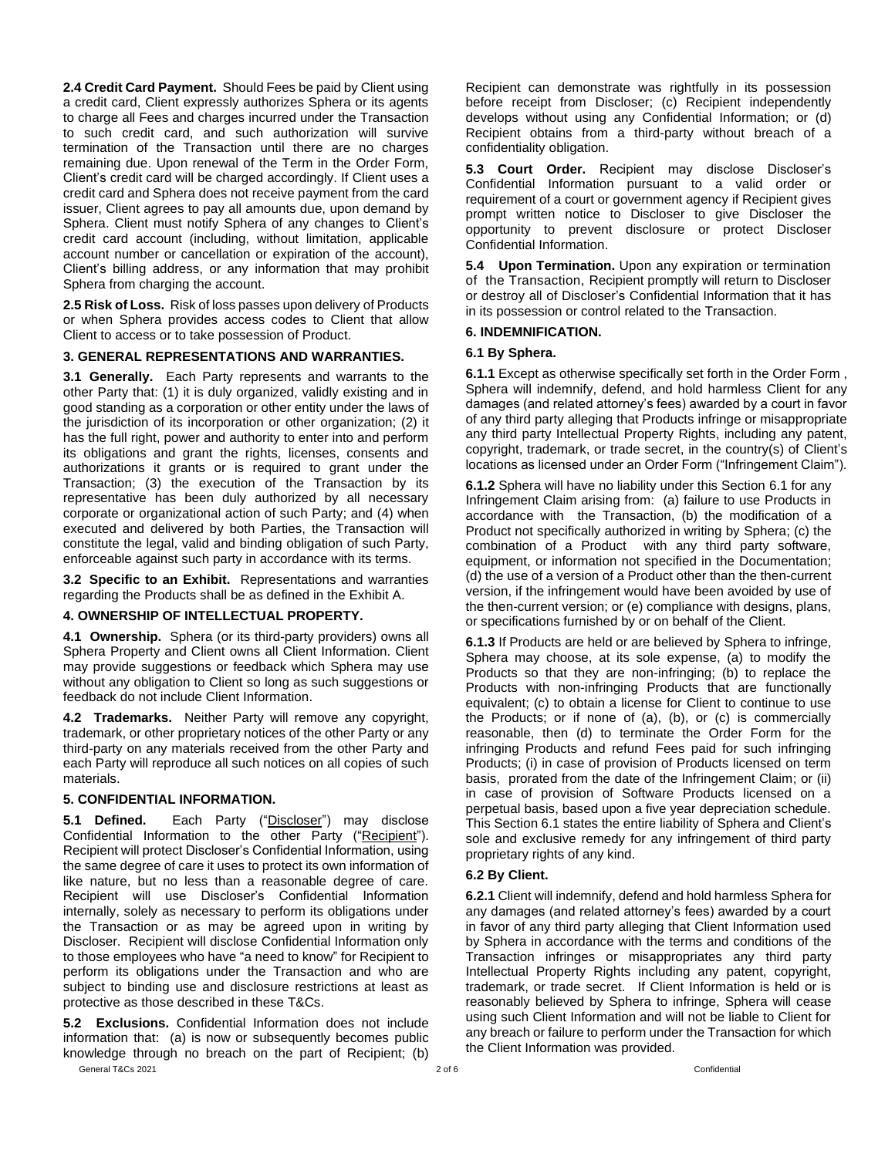**2.4 Credit Card Payment.** Should Fees be paid by Client using a credit card, Client expressly authorizes Sphera or its agents to charge all Fees and charges incurred under the Transaction to such credit card, and such authorization will survive termination of the Transaction until there are no charges remaining due. Upon renewal of the Term in the Order Form, Client's credit card will be charged accordingly. If Client uses a credit card and Sphera does not receive payment from the card issuer, Client agrees to pay all amounts due, upon demand by Sphera. Client must notify Sphera of any changes to Client's credit card account (including, without limitation, applicable account number or cancellation or expiration of the account), Client's billing address, or any information that may prohibit Sphera from charging the account.

**2.5 Risk of Loss.** Risk of loss passes upon delivery of Products or when Sphera provides access codes to Client that allow Client to access or to take possession of Product.

### **3. GENERAL REPRESENTATIONS AND WARRANTIES.**

**3.1 Generally.** Each Party represents and warrants to the other Party that: (1) it is duly organized, validly existing and in good standing as a corporation or other entity under the laws of the jurisdiction of its incorporation or other organization; (2) it has the full right, power and authority to enter into and perform its obligations and grant the rights, licenses, consents and authorizations it grants or is required to grant under the Transaction; (3) the execution of the Transaction by its representative has been duly authorized by all necessary corporate or organizational action of such Party; and (4) when executed and delivered by both Parties, the Transaction will constitute the legal, valid and binding obligation of such Party, enforceable against such party in accordance with its terms.

**3.2 Specific to an Exhibit.** Representations and warranties regarding the Products shall be as defined in the Exhibit A.

#### **4. OWNERSHIP OF INTELLECTUAL PROPERTY.**

**4.1 Ownership.** Sphera (or its third-party providers) owns all Sphera Property and Client owns all Client Information. Client may provide suggestions or feedback which Sphera may use without any obligation to Client so long as such suggestions or feedback do not include Client Information.

**4.2 Trademarks.** Neither Party will remove any copyright, trademark, or other proprietary notices of the other Party or any third-party on any materials received from the other Party and each Party will reproduce all such notices on all copies of such materials.

#### **5. CONFIDENTIAL INFORMATION.**

**5.1 Defined.** Each Party ("Discloser") may disclose Confidential Information to the other Party ("Recipient"). Recipient will protect Discloser's Confidential Information, using the same degree of care it uses to protect its own information of like nature, but no less than a reasonable degree of care. Recipient will use Discloser's Confidential Information internally, solely as necessary to perform its obligations under the Transaction or as may be agreed upon in writing by Discloser. Recipient will disclose Confidential Information only to those employees who have "a need to know" for Recipient to perform its obligations under the Transaction and who are subject to binding use and disclosure restrictions at least as protective as those described in these T&Cs.

General T&Cs 2021 2 of 6 Confidential **5.2 Exclusions.** Confidential Information does not include information that: (a) is now or subsequently becomes public knowledge through no breach on the part of Recipient; (b)

Recipient can demonstrate was rightfully in its possession before receipt from Discloser; (c) Recipient independently develops without using any Confidential Information; or (d) Recipient obtains from a third-party without breach of a confidentiality obligation.

**5.3 Court Order.** Recipient may disclose Discloser's Confidential Information pursuant to a valid order or requirement of a court or government agency if Recipient gives prompt written notice to Discloser to give Discloser the opportunity to prevent disclosure or protect Discloser Confidential Information.

**5.4 Upon Termination.** Upon any expiration or termination of the Transaction, Recipient promptly will return to Discloser or destroy all of Discloser's Confidential Information that it has in its possession or control related to the Transaction.

#### **6. INDEMNIFICATION.**

#### **6.1 By Sphera.**

**6.1.1** Except as otherwise specifically set forth in the Order Form , Sphera will indemnify, defend, and hold harmless Client for any damages (and related attorney's fees) awarded by a court in favor of any third party alleging that Products infringe or misappropriate any third party Intellectual Property Rights, including any patent, copyright, trademark, or trade secret, in the country(s) of Client's locations as licensed under an Order Form ("Infringement Claim").

**6.1.2** Sphera will have no liability under this Section 6.1 for any Infringement Claim arising from: (a) failure to use Products in accordance with the Transaction, (b) the modification of a Product not specifically authorized in writing by Sphera; (c) the combination of a Product with any third party software, equipment, or information not specified in the Documentation; (d) the use of a version of a Product other than the then-current version, if the infringement would have been avoided by use of the then-current version; or (e) compliance with designs, plans, or specifications furnished by or on behalf of the Client.

**6.1.3** If Products are held or are believed by Sphera to infringe, Sphera may choose, at its sole expense, (a) to modify the Products so that they are non-infringing; (b) to replace the Products with non-infringing Products that are functionally equivalent; (c) to obtain a license for Client to continue to use the Products; or if none of (a), (b), or (c) is commercially reasonable, then (d) to terminate the Order Form for the infringing Products and refund Fees paid for such infringing Products; (i) in case of provision of Products licensed on term basis, prorated from the date of the Infringement Claim; or (ii) in case of provision of Software Products licensed on a perpetual basis, based upon a five year depreciation schedule. This Section 6.1 states the entire liability of Sphera and Client's sole and exclusive remedy for any infringement of third party proprietary rights of any kind.

### **6.2 By Client.**

**6.2.1** Client will indemnify, defend and hold harmless Sphera for any damages (and related attorney's fees) awarded by a court in favor of any third party alleging that Client Information used by Sphera in accordance with the terms and conditions of the Transaction infringes or misappropriates any third party Intellectual Property Rights including any patent, copyright, trademark, or trade secret. If Client Information is held or is reasonably believed by Sphera to infringe, Sphera will cease using such Client Information and will not be liable to Client for any breach or failure to perform under the Transaction for which the Client Information was provided.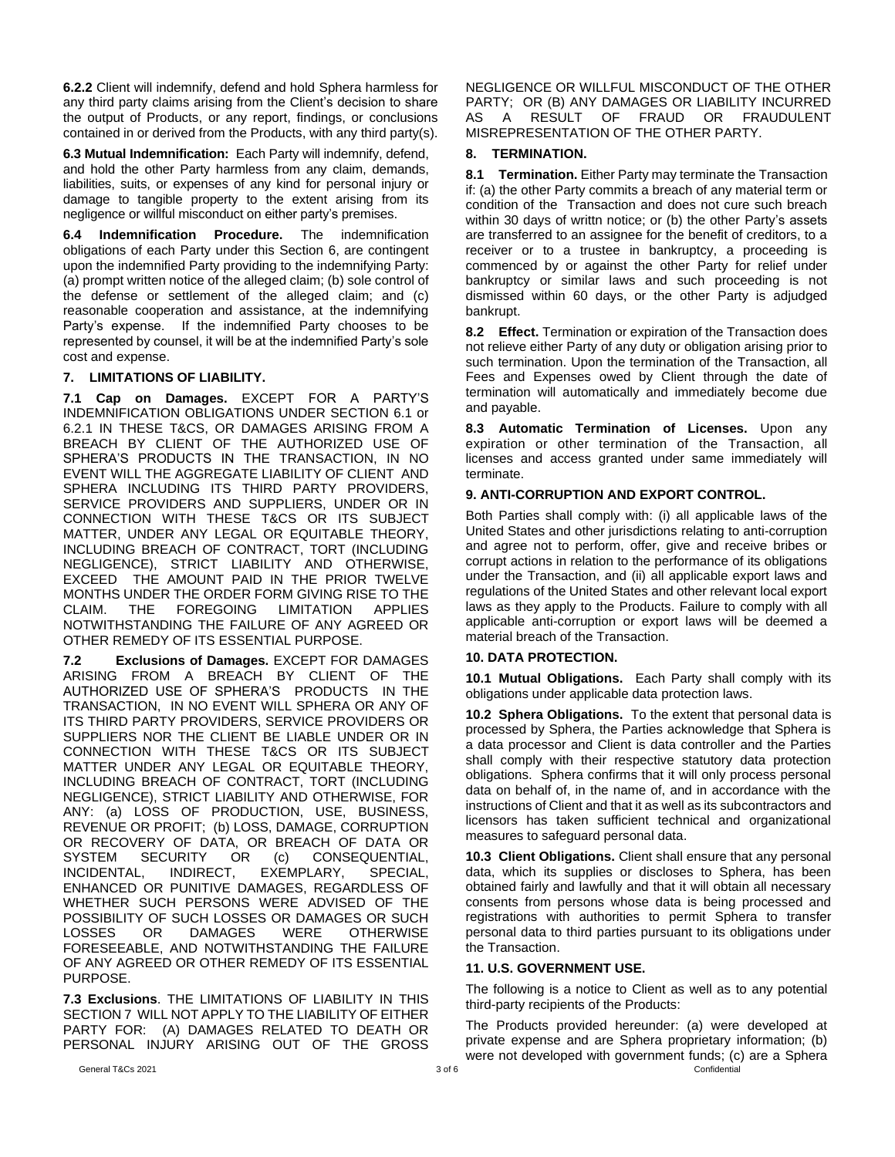**6.2.2** Client will indemnify, defend and hold Sphera harmless for any third party claims arising from the Client's decision to share the output of Products, or any report, findings, or conclusions contained in or derived from the Products, with any third party(s).

**6.3 Mutual Indemnification:** Each Party will indemnify, defend, and hold the other Party harmless from any claim, demands, liabilities, suits, or expenses of any kind for personal injury or damage to tangible property to the extent arising from its negligence or willful misconduct on either party's premises.

**6.4 Indemnification Procedure.** The indemnification obligations of each Party under this Section 6, are contingent upon the indemnified Party providing to the indemnifying Party: (a) prompt written notice of the alleged claim; (b) sole control of the defense or settlement of the alleged claim; and (c) reasonable cooperation and assistance, at the indemnifying Party's expense. If the indemnified Party chooses to be represented by counsel, it will be at the indemnified Party's sole cost and expense.

## **7. LIMITATIONS OF LIABILITY.**

**7.1 Cap on Damages.** EXCEPT FOR A PARTY'S INDEMNIFICATION OBLIGATIONS UNDER SECTION 6.1 or 6.2.1 IN THESE T&CS, OR DAMAGES ARISING FROM A BREACH BY CLIENT OF THE AUTHORIZED USE OF SPHERA'S PRODUCTS IN THE TRANSACTION, IN NO EVENT WILL THE AGGREGATE LIABILITY OF CLIENT AND SPHERA INCLUDING ITS THIRD PARTY PROVIDERS, SERVICE PROVIDERS AND SUPPLIERS, UNDER OR IN CONNECTION WITH THESE T&CS OR ITS SUBJECT MATTER, UNDER ANY LEGAL OR EQUITABLE THEORY, INCLUDING BREACH OF CONTRACT, TORT (INCLUDING NEGLIGENCE), STRICT LIABILITY AND OTHERWISE, EXCEED THE AMOUNT PAID IN THE PRIOR TWELVE MONTHS UNDER THE ORDER FORM GIVING RISE TO THE CLAIM. THE FOREGOING LIMITATION APPLIES NOTWITHSTANDING THE FAILURE OF ANY AGREED OR OTHER REMEDY OF ITS ESSENTIAL PURPOSE.

**7.2 Exclusions of Damages.** EXCEPT FOR DAMAGES ARISING FROM A BREACH BY CLIENT OF THE AUTHORIZED USE OF SPHERA'S PRODUCTS IN THE TRANSACTION, IN NO EVENT WILL SPHERA OR ANY OF ITS THIRD PARTY PROVIDERS, SERVICE PROVIDERS OR SUPPLIERS NOR THE CLIENT BE LIABLE UNDER OR IN CONNECTION WITH THESE T&CS OR ITS SUBJECT MATTER UNDER ANY LEGAL OR EQUITABLE THEORY, INCLUDING BREACH OF CONTRACT, TORT (INCLUDING NEGLIGENCE), STRICT LIABILITY AND OTHERWISE, FOR ANY: (a) LOSS OF PRODUCTION, USE, BUSINESS, REVENUE OR PROFIT; (b) LOSS, DAMAGE, CORRUPTION OR RECOVERY OF DATA, OR BREACH OF DATA OR SYSTEM SECURITY OR (c) CONSEQUENTIAL,<br>INCIDENTAL, INDIRECT, EXEMPLARY, SPECIAL, EXEMPLARY, SPECIAL, ENHANCED OR PUNITIVE DAMAGES, REGARDLESS OF WHETHER SUCH PERSONS WERE ADVISED OF THE POSSIBILITY OF SUCH LOSSES OR DAMAGES OR SUCH LOSSES OR DAMAGES WERE OTHERWISE FORESEEABLE, AND NOTWITHSTANDING THE FAILURE OF ANY AGREED OR OTHER REMEDY OF ITS ESSENTIAL PURPOSE.

**7.3 Exclusions**. THE LIMITATIONS OF LIABILITY IN THIS SECTION 7 WILL NOT APPLY TO THE LIABILITY OF EITHER PARTY FOR: (A) DAMAGES RELATED TO DEATH OR PERSONAL INJURY ARISING OUT OF THE GROSS NEGLIGENCE OR WILLFUL MISCONDUCT OF THE OTHER PARTY; OR (B) ANY DAMAGES OR LIABILITY INCURRED AS A RESULT OF FRAUD OR FRAUDULENT MISREPRESENTATION OF THE OTHER PARTY.

## **8. TERMINATION.**

**8.1 Termination.** Either Party may terminate the Transaction if: (a) the other Party commits a breach of any material term or condition of the Transaction and does not cure such breach within 30 days of writtn notice; or (b) the other Party's assets are transferred to an assignee for the benefit of creditors, to a receiver or to a trustee in bankruptcy, a proceeding is commenced by or against the other Party for relief under bankruptcy or similar laws and such proceeding is not dismissed within 60 days, or the other Party is adjudged bankrupt.

**8.2 Effect.** Termination or expiration of the Transaction does not relieve either Party of any duty or obligation arising prior to such termination. Upon the termination of the Transaction, all Fees and Expenses owed by Client through the date of termination will automatically and immediately become due and payable.

**8.3 Automatic Termination of Licenses.** Upon any expiration or other termination of the Transaction, all licenses and access granted under same immediately will terminate.

## **9. ANTI-CORRUPTION AND EXPORT CONTROL.**

Both Parties shall comply with: (i) all applicable laws of the United States and other jurisdictions relating to anti-corruption and agree not to perform, offer, give and receive bribes or corrupt actions in relation to the performance of its obligations under the Transaction, and (ii) all applicable export laws and regulations of the United States and other relevant local export laws as they apply to the Products. Failure to comply with all applicable anti-corruption or export laws will be deemed a material breach of the Transaction.

### **10. DATA PROTECTION.**

**10.1 Mutual Obligations.** Each Party shall comply with its obligations under applicable data protection laws.

**10.2 Sphera Obligations.** To the extent that personal data is processed by Sphera, the Parties acknowledge that Sphera is a data processor and Client is data controller and the Parties shall comply with their respective statutory data protection obligations. Sphera confirms that it will only process personal data on behalf of, in the name of, and in accordance with the instructions of Client and that it as well as its subcontractors and licensors has taken sufficient technical and organizational measures to safeguard personal data.

**10.3 Client Obligations.** Client shall ensure that any personal data, which its supplies or discloses to Sphera, has been obtained fairly and lawfully and that it will obtain all necessary consents from persons whose data is being processed and registrations with authorities to permit Sphera to transfer personal data to third parties pursuant to its obligations under the Transaction.

# **11. U.S. GOVERNMENT USE.**

The following is a notice to Client as well as to any potential third-party recipients of the Products:

General T&Cs 2021 **Confidential** 3 of 6 Confidential 3 of 6 Confidential 3 of 6 Confidential 3 of 6 Confidential The Products provided hereunder: (a) were developed at private expense and are Sphera proprietary information; (b) were not developed with government funds; (c) are a Sphera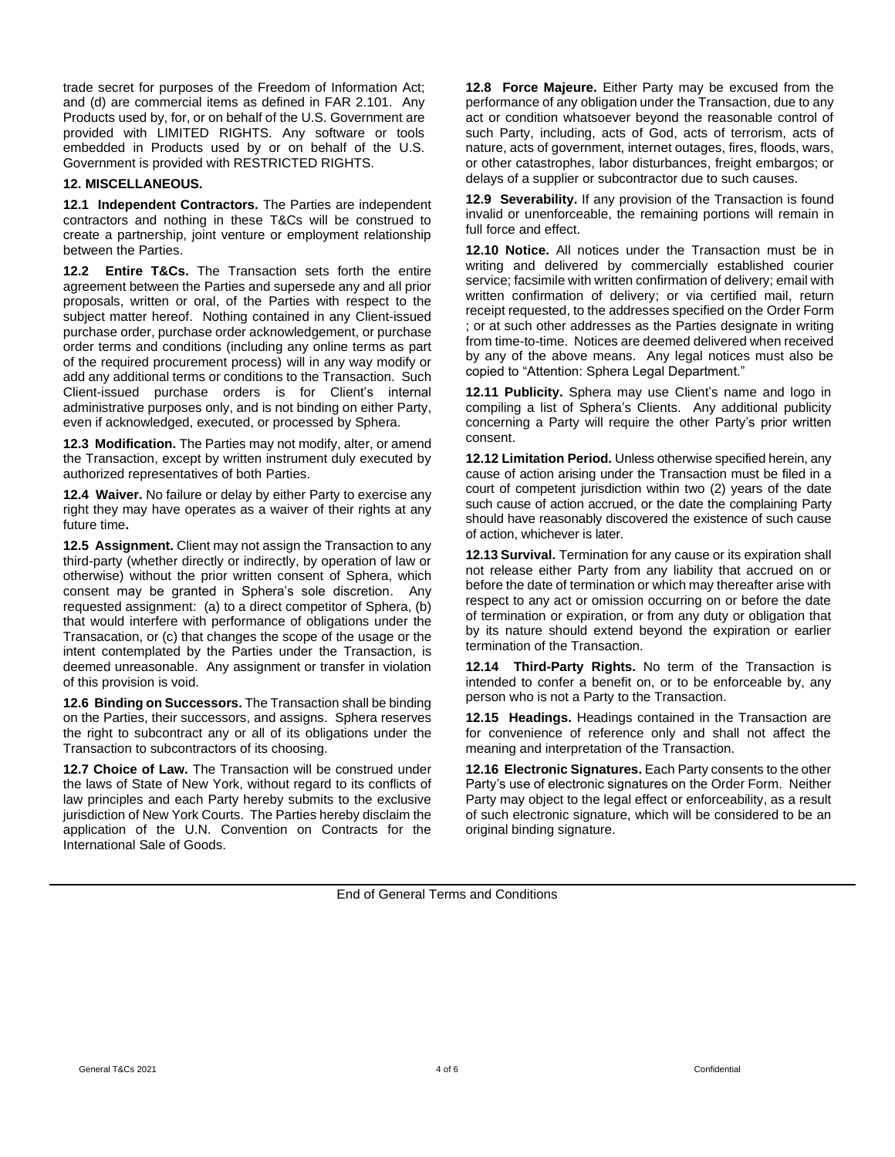trade secret for purposes of the Freedom of Information Act; and (d) are commercial items as defined in FAR 2.101. Any Products used by, for, or on behalf of the U.S. Government are provided with LIMITED RIGHTS. Any software or tools embedded in Products used by or on behalf of the U.S. Government is provided with RESTRICTED RIGHTS.

### **12. MISCELLANEOUS.**

**12.1 Independent Contractors.** The Parties are independent contractors and nothing in these T&Cs will be construed to create a partnership, joint venture or employment relationship between the Parties.

**12.2 Entire T&Cs.** The Transaction sets forth the entire agreement between the Parties and supersede any and all prior proposals, written or oral, of the Parties with respect to the subject matter hereof. Nothing contained in any Client-issued purchase order, purchase order acknowledgement, or purchase order terms and conditions (including any online terms as part of the required procurement process) will in any way modify or add any additional terms or conditions to the Transaction. Such Client-issued purchase orders is for Client's internal administrative purposes only, and is not binding on either Party, even if acknowledged, executed, or processed by Sphera.

**12.3 Modification.** The Parties may not modify, alter, or amend the Transaction, except by written instrument duly executed by authorized representatives of both Parties.

**12.4 Waiver.** No failure or delay by either Party to exercise any right they may have operates as a waiver of their rights at any future time**.** 

**12.5 Assignment.** Client may not assign the Transaction to any third-party (whether directly or indirectly, by operation of law or otherwise) without the prior written consent of Sphera, which consent may be granted in Sphera's sole discretion. Any requested assignment: (a) to a direct competitor of Sphera, (b) that would interfere with performance of obligations under the Transacation, or (c) that changes the scope of the usage or the intent contemplated by the Parties under the Transaction, is deemed unreasonable. Any assignment or transfer in violation of this provision is void.

**12.6 Binding on Successors.** The Transaction shall be binding on the Parties, their successors, and assigns. Sphera reserves the right to subcontract any or all of its obligations under the Transaction to subcontractors of its choosing.

**12.7 Choice of Law.** The Transaction will be construed under the laws of State of New York, without regard to its conflicts of law principles and each Party hereby submits to the exclusive jurisdiction of New York Courts. The Parties hereby disclaim the application of the U.N. Convention on Contracts for the International Sale of Goods.

**12.8 Force Majeure.** Either Party may be excused from the performance of any obligation under the Transaction, due to any act or condition whatsoever beyond the reasonable control of such Party, including, acts of God, acts of terrorism, acts of nature, acts of government, internet outages, fires, floods, wars, or other catastrophes, labor disturbances, freight embargos; or delays of a supplier or subcontractor due to such causes.

**12.9 Severability.** If any provision of the Transaction is found invalid or unenforceable, the remaining portions will remain in full force and effect.

**12.10 Notice.** All notices under the Transaction must be in writing and delivered by commercially established courier service; facsimile with written confirmation of delivery; email with written confirmation of delivery; or via certified mail, return receipt requested, to the addresses specified on the Order Form ; or at such other addresses as the Parties designate in writing from time-to-time. Notices are deemed delivered when received by any of the above means. Any legal notices must also be copied to "Attention: Sphera Legal Department."

**12.11 Publicity.** Sphera may use Client's name and logo in compiling a list of Sphera's Clients. Any additional publicity concerning a Party will require the other Party's prior written consent.

**12.12 Limitation Period.** Unless otherwise specified herein, any cause of action arising under the Transaction must be filed in a court of competent jurisdiction within two (2) years of the date such cause of action accrued, or the date the complaining Party should have reasonably discovered the existence of such cause of action, whichever is later.

**12.13 Survival.** Termination for any cause or its expiration shall not release either Party from any liability that accrued on or before the date of termination or which may thereafter arise with respect to any act or omission occurring on or before the date of termination or expiration, or from any duty or obligation that by its nature should extend beyond the expiration or earlier termination of the Transaction.

**12.14 Third-Party Rights.** No term of the Transaction is intended to confer a benefit on, or to be enforceable by, any person who is not a Party to the Transaction.

**12.15 Headings.** Headings contained in the Transaction are for convenience of reference only and shall not affect the meaning and interpretation of the Transaction.

**12.16 Electronic Signatures.** Each Party consents to the other Party's use of electronic signatures on the Order Form. Neither Party may object to the legal effect or enforceability, as a result of such electronic signature, which will be considered to be an original binding signature.

End of General Terms and Conditions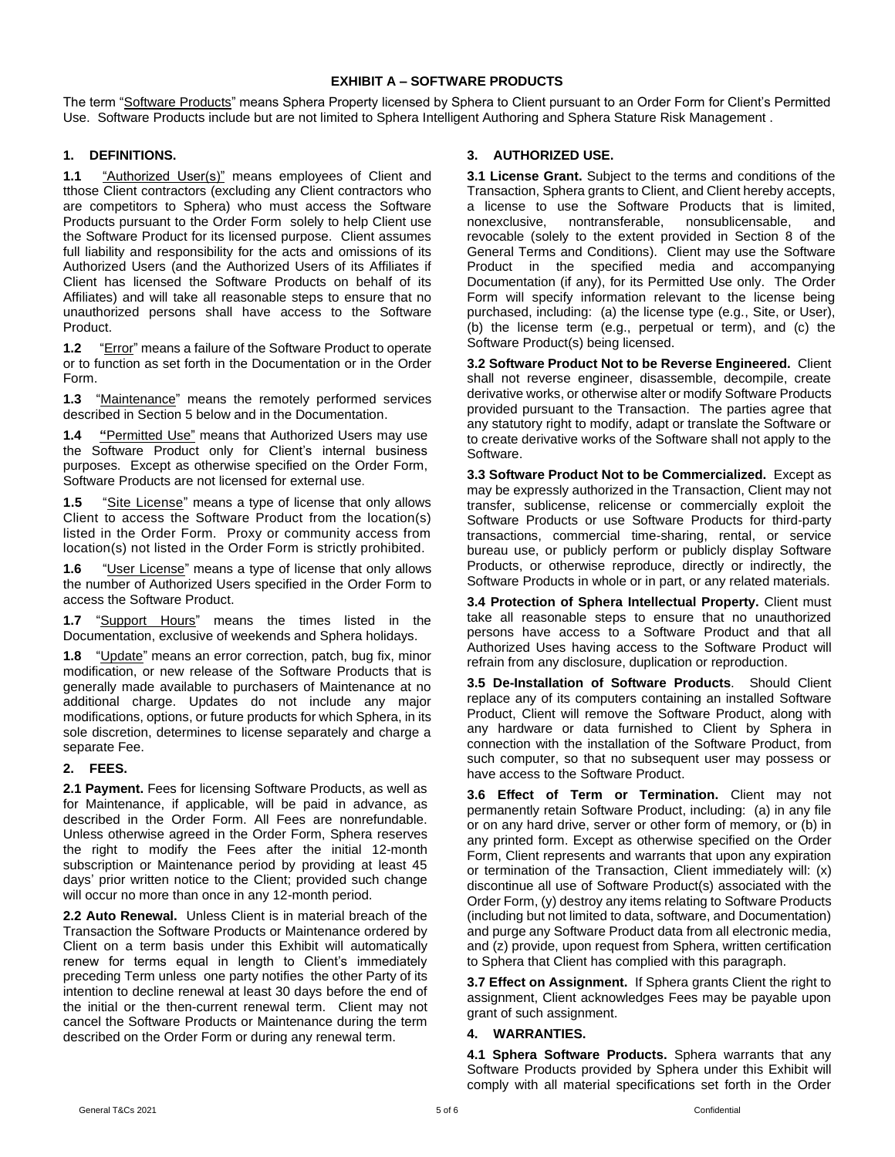## **EXHIBIT A – SOFTWARE PRODUCTS**

The term "Software Products" means Sphera Property licensed by Sphera to Client pursuant to an Order Form for Client's Permitted Use. Software Products include but are not limited to Sphera Intelligent Authoring and Sphera Stature Risk Management .

## **1. DEFINITIONS.**

1.1 "Authorized User(s)" means employees of Client and tthose Client contractors (excluding any Client contractors who are competitors to Sphera) who must access the Software Products pursuant to the Order Form solely to help Client use the Software Product for its licensed purpose. Client assumes full liability and responsibility for the acts and omissions of its Authorized Users (and the Authorized Users of its Affiliates if Client has licensed the Software Products on behalf of its Affiliates) and will take all reasonable steps to ensure that no unauthorized persons shall have access to the Software Product.

**1.2** "Error" means a failure of the Software Product to operate or to function as set forth in the Documentation or in the Order Form.

**1.3** "Maintenance" means the remotely performed services described in Section 5 below and in the Documentation.

**1.4 "**Permitted Use" means that Authorized Users may use the Software Product only for Client's internal business purposes. Except as otherwise specified on the Order Form, Software Products are not licensed for external use.

**1.5** "Site License" means a type of license that only allows Client to access the Software Product from the location(s) listed in the Order Form. Proxy or community access from location(s) not listed in the Order Form is strictly prohibited.

**1.6** "User License" means a type of license that only allows the number of Authorized Users specified in the Order Form to access the Software Product.

1.7 "Support **Hours**" means the times listed in the Documentation, exclusive of weekends and Sphera holidays.

**1.8** "Update" means an error correction, patch, bug fix, minor modification, or new release of the Software Products that is generally made available to purchasers of Maintenance at no additional charge. Updates do not include any major modifications, options, or future products for which Sphera, in its sole discretion, determines to license separately and charge a separate Fee.

### **2. FEES.**

**2.1 Payment.** Fees for licensing Software Products, as well as for Maintenance, if applicable, will be paid in advance, as described in the Order Form. All Fees are nonrefundable. Unless otherwise agreed in the Order Form, Sphera reserves the right to modify the Fees after the initial 12-month subscription or Maintenance period by providing at least 45 days' prior written notice to the Client; provided such change will occur no more than once in any 12-month period.

**2.2 Auto Renewal.** Unless Client is in material breach of the Transaction the Software Products or Maintenance ordered by Client on a term basis under this Exhibit will automatically renew for terms equal in length to Client's immediately preceding Term unless one party notifies the other Party of its intention to decline renewal at least 30 days before the end of the initial or the then-current renewal term. Client may not cancel the Software Products or Maintenance during the term described on the Order Form or during any renewal term.

## **3. AUTHORIZED USE.**

**3.1 License Grant.** Subject to the terms and conditions of the Transaction, Sphera grants to Client, and Client hereby accepts, a license to use the Software Products that is limited, nonexclusive, nontransferable, nonsublicensable, and revocable (solely to the extent provided in Section 8 of the General Terms and Conditions). Client may use the Software Product in the specified media and accompanying Documentation (if any), for its Permitted Use only. The Order Form will specify information relevant to the license being purchased, including: (a) the license type (e.g., Site, or User), (b) the license term (e.g., perpetual or term), and (c) the Software Product(s) being licensed.

**3.2 Software Product Not to be Reverse Engineered.** Client shall not reverse engineer, disassemble, decompile, create derivative works, or otherwise alter or modify Software Products provided pursuant to the Transaction. The parties agree that any statutory right to modify, adapt or translate the Software or to create derivative works of the Software shall not apply to the Software.

**3.3 Software Product Not to be Commercialized.** Except as may be expressly authorized in the Transaction, Client may not transfer, sublicense, relicense or commercially exploit the Software Products or use Software Products for third-party transactions, commercial time-sharing, rental, or service bureau use, or publicly perform or publicly display Software Products, or otherwise reproduce, directly or indirectly, the Software Products in whole or in part, or any related materials.

**3.4 Protection of Sphera Intellectual Property.** Client must take all reasonable steps to ensure that no unauthorized persons have access to a Software Product and that all Authorized Uses having access to the Software Product will refrain from any disclosure, duplication or reproduction.

**3.5 De-Installation of Software Products**. Should Client replace any of its computers containing an installed Software Product, Client will remove the Software Product, along with any hardware or data furnished to Client by Sphera in connection with the installation of the Software Product, from such computer, so that no subsequent user may possess or have access to the Software Product.

**3.6 Effect of Term or Termination.** Client may not permanently retain Software Product, including: (a) in any file or on any hard drive, server or other form of memory, or (b) in any printed form. Except as otherwise specified on the Order Form, Client represents and warrants that upon any expiration or termination of the Transaction, Client immediately will: (x) discontinue all use of Software Product(s) associated with the Order Form, (y) destroy any items relating to Software Products (including but not limited to data, software, and Documentation) and purge any Software Product data from all electronic media, and (z) provide, upon request from Sphera, written certification to Sphera that Client has complied with this paragraph.

**3.7 Effect on Assignment.** If Sphera grants Client the right to assignment, Client acknowledges Fees may be payable upon grant of such assignment.

### **4. WARRANTIES.**

**4.1 Sphera Software Products.** Sphera warrants that any Software Products provided by Sphera under this Exhibit will comply with all material specifications set forth in the Order